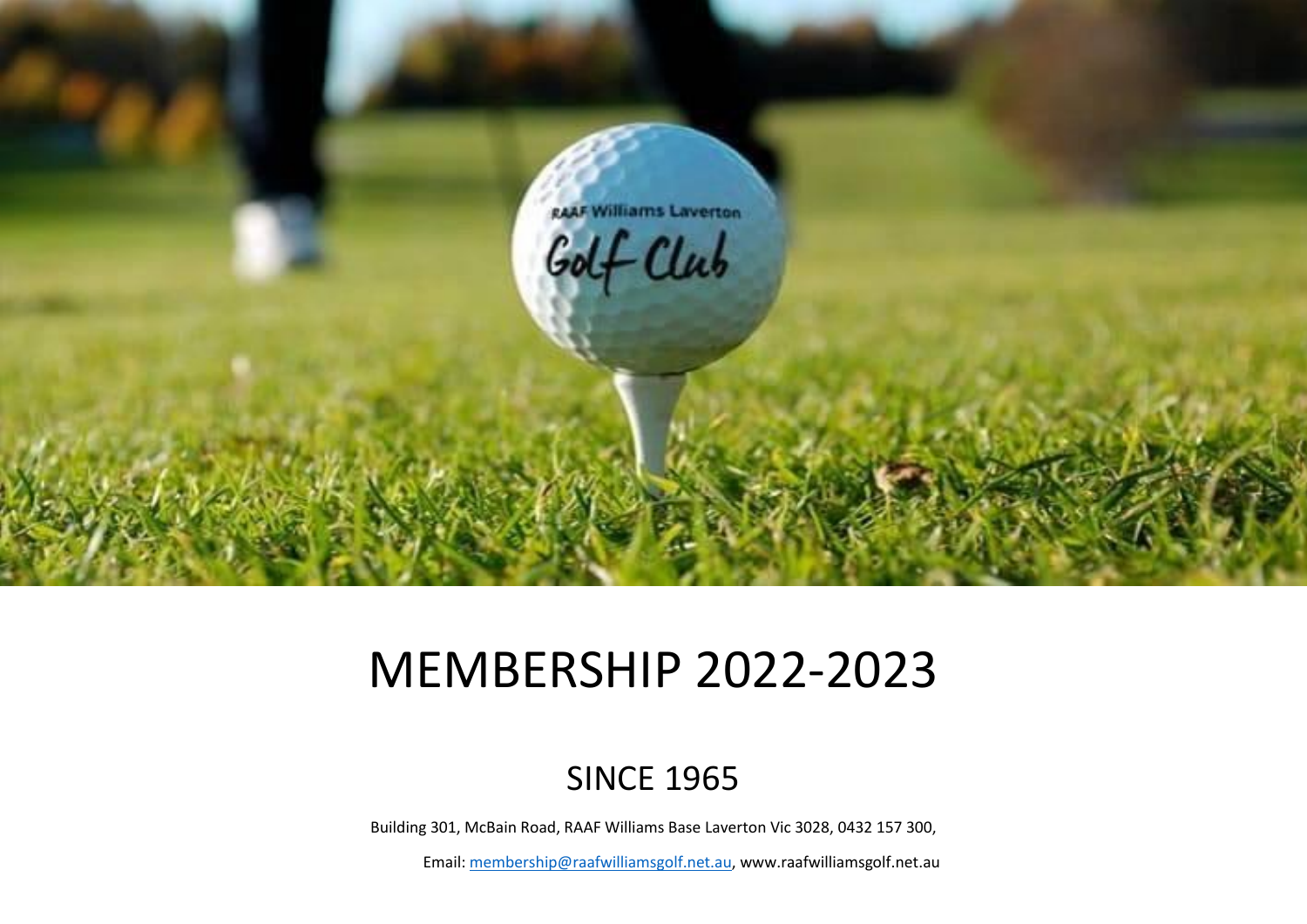

# MEMBERSHIP 2022-2023

# SINCE 1965

Building 301, McBain Road, RAAF Williams Base Laverton Vic 3028, 0432 157 300,

Email[: membership@raafwilliamsgolf.net.au,](mailto:membership@raafwilliamsgolf.net.au) www.raafwilliamsgolf.net.au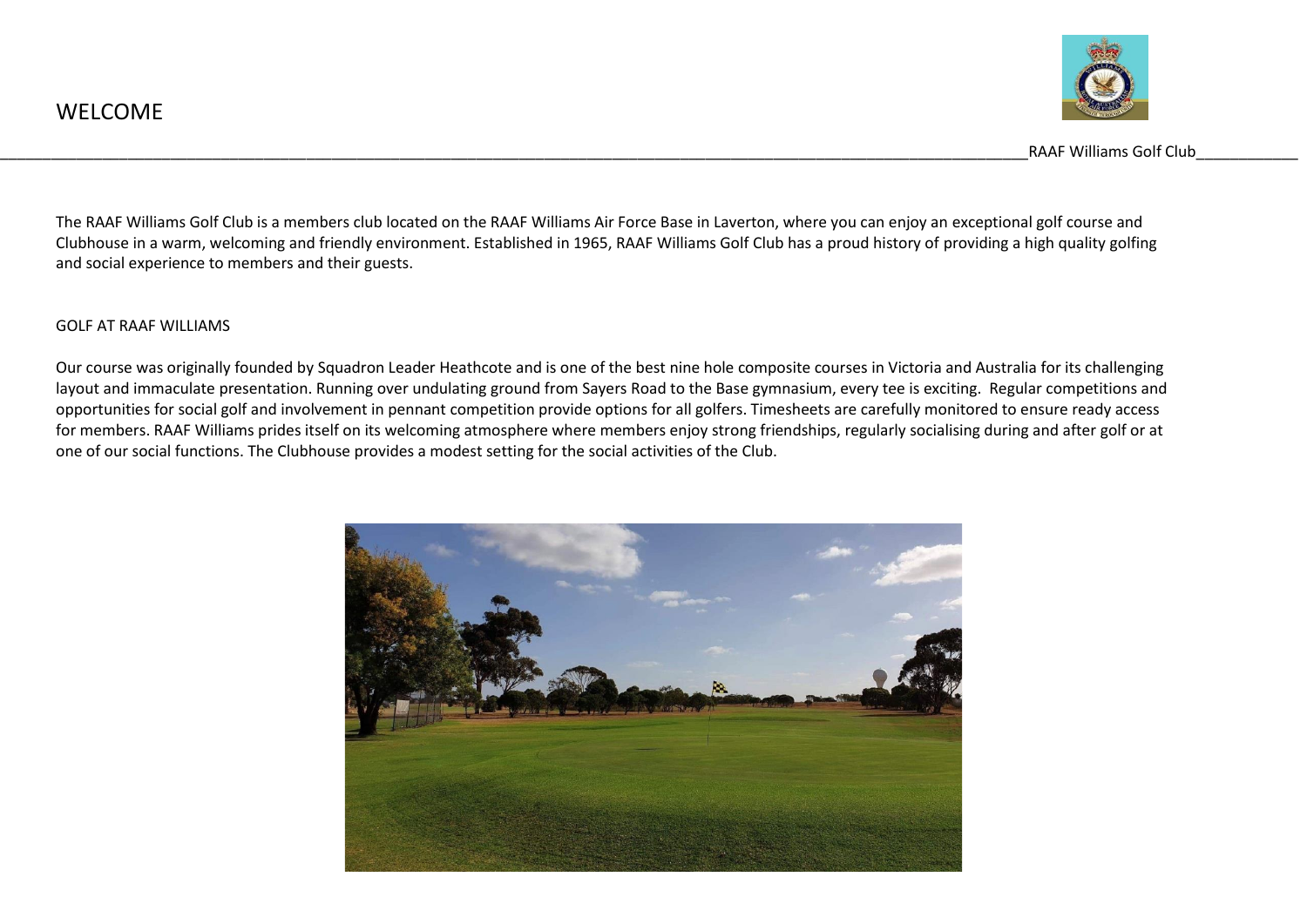

The RAAF Williams Golf Club is a members club located on the RAAF Williams Air Force Base in Laverton, where you can enjoy an exceptional golf course and Clubhouse in a warm, welcoming and friendly environment. Established in 1965, RAAF Williams Golf Club has a proud history of providing a high quality golfing and social experience to members and their guests.

#### GOLF AT RAAF WILLIAMS

Our course was originally founded by Squadron Leader Heathcote and is one of the best nine hole composite courses in Victoria and Australia for its challenging layout and immaculate presentation. Running over undulating ground from Sayers Road to the Base gymnasium, every tee is exciting. Regular competitions and opportunities for social golf and involvement in pennant competition provide options for all golfers. Timesheets are carefully monitored to ensure ready access for members. RAAF Williams prides itself on its welcoming atmosphere where members enjoy strong friendships, regularly socialising during and after golf or at one of our social functions. The Clubhouse provides a modest setting for the social activities of the Club.

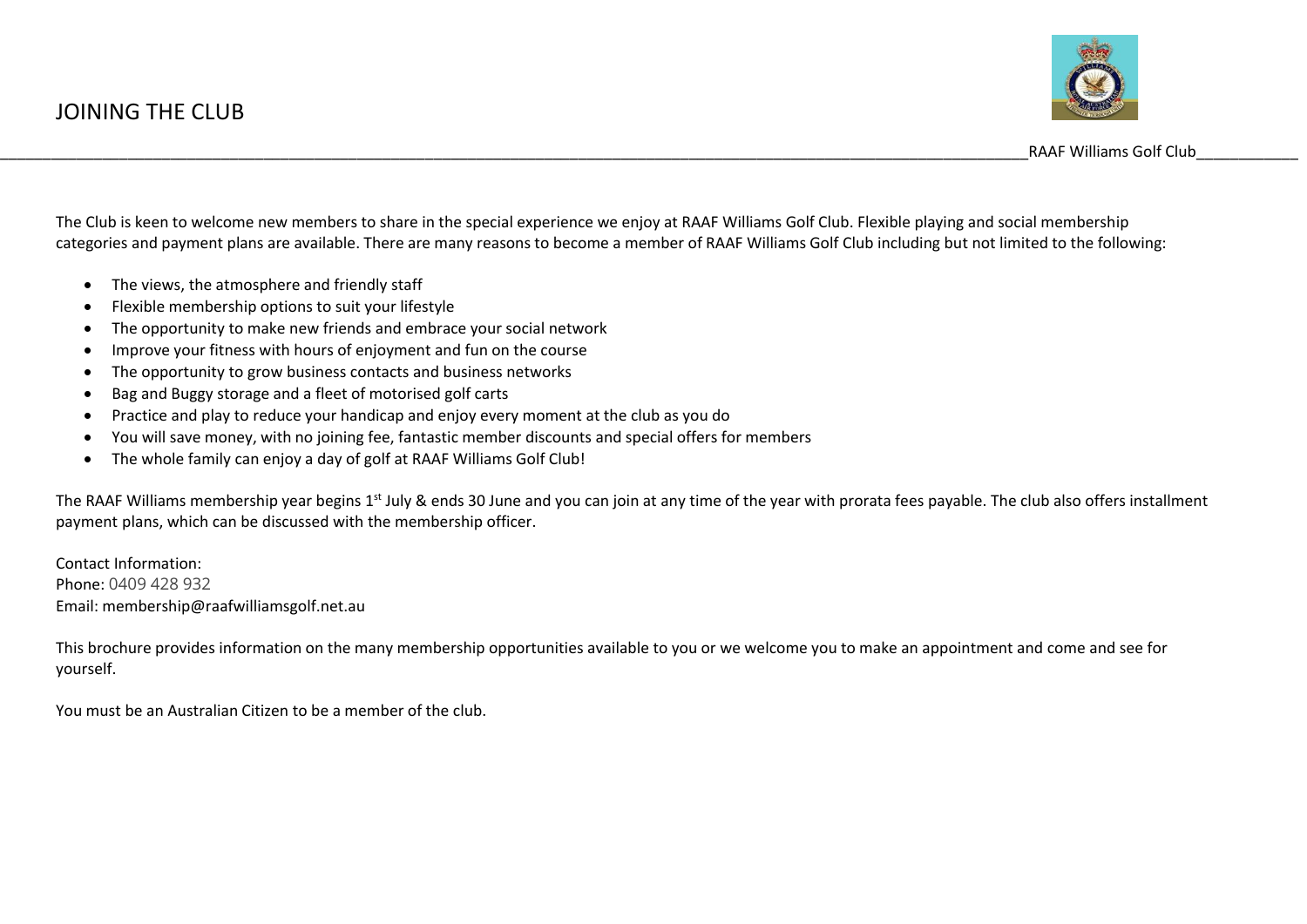

The Club is keen to welcome new members to share in the special experience we enjoy at RAAF Williams Golf Club. Flexible playing and social membership categories and payment plans are available. There are many reasons to become a member of RAAF Williams Golf Club including but not limited to the following:

- The views, the atmosphere and friendly staff
- Flexible membership options to suit your lifestyle
- The opportunity to make new friends and embrace your social network
- Improve your fitness with hours of enjoyment and fun on the course
- The opportunity to grow business contacts and business networks
- Bag and Buggy storage and a fleet of motorised golf carts
- Practice and play to reduce your handicap and enjoy every moment at the club as you do
- You will save money, with no joining fee, fantastic member discounts and special offers for members
- The whole family can enjoy a day of golf at RAAF Williams Golf Club!

The RAAF Williams membership year begins 1<sup>st</sup> July & ends 30 June and you can join at any time of the year with prorata fees payable. The club also offers installment payment plans, which can be discussed with the membership officer.

Contact Information: Phone: 0409 428 932 Email: membership@raafwilliamsgolf.net.au

This brochure provides information on the many membership opportunities available to you or we welcome you to make an appointment and come and see for yourself.

You must be an Australian Citizen to be a member of the club.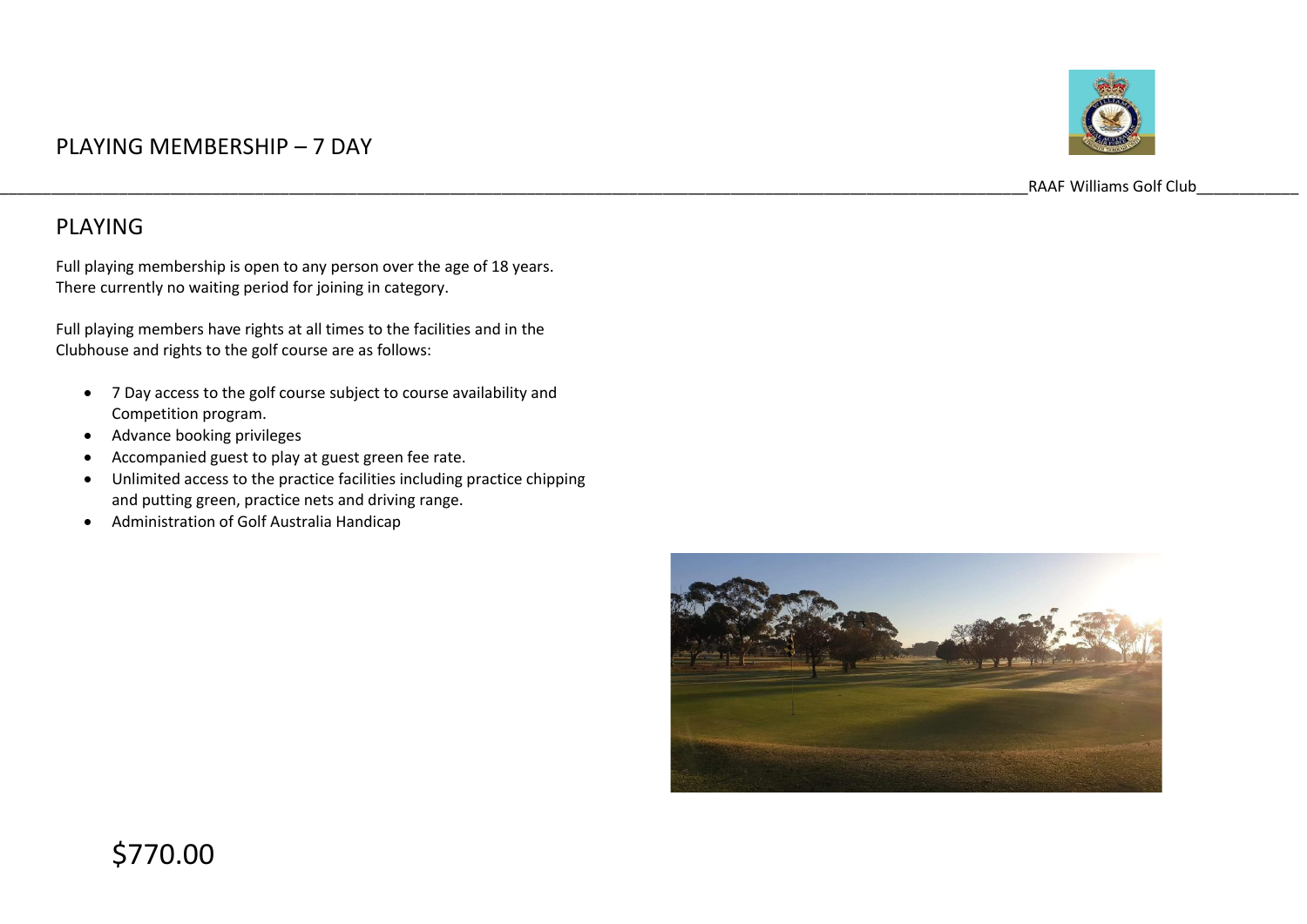### PLAYING MEMBERSHIP – 7 DAY



RAAF Williams Golf Club

#### PLAYING

Full playing membership is open to any person over the age of 18 years. There currently no waiting period for joining in category.

Full playing members have rights at all times to the facilities and in the Clubhouse and rights to the golf course are as follows:

- 7 Day access to the golf course subject to course availability and Competition program.
- Advance booking privileges
- Accompanied guest to play at guest green fee rate.
- Unlimited access to the practice facilities including practice chipping and putting green, practice nets and driving range.
- Administration of Golf Australia Handicap

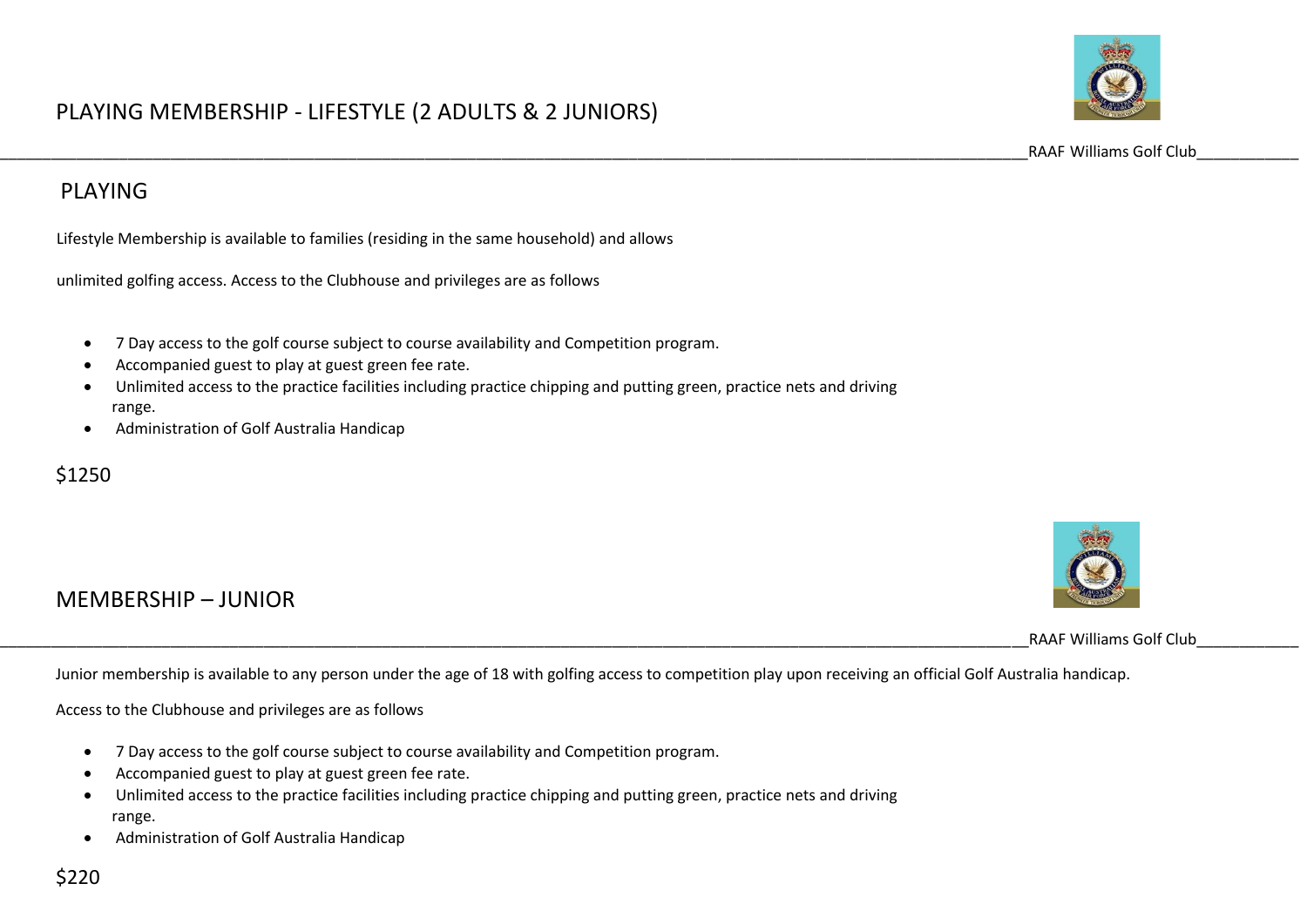

\_\_\_\_\_\_\_\_\_\_\_\_\_\_\_\_\_\_\_\_\_\_\_\_\_\_\_\_\_\_\_\_\_\_\_\_\_\_\_\_\_\_\_\_\_\_\_\_\_\_\_\_\_\_\_\_\_\_\_\_\_\_\_\_\_\_\_\_\_\_\_\_\_\_\_\_\_\_\_\_\_\_\_\_\_\_\_\_\_\_\_\_\_\_\_\_\_\_\_\_\_\_\_\_\_\_\_\_\_\_\_\_\_\_\_\_\_\_\_\_\_RAAF Williams Golf Club\_\_\_\_\_\_\_\_\_\_\_\_

#### PLAYING

Lifestyle Membership is available to families (residing in the same household) and allows

unlimited golfing access. Access to the Clubhouse and privileges are as follows

- 7 Day access to the golf course subject to course availability and Competition program.
- Accompanied guest to play at guest green fee rate.
- Unlimited access to the practice facilities including practice chipping and putting green, practice nets and driving range.
- Administration of Golf Australia Handicap

#### \$1250

## MEMBERSHIP – JUNIOR

RAAF Williams Golf Club

Junior membership is available to any person under the age of 18 with golfing access to competition play upon receiving an official Golf Australia handicap.

Access to the Clubhouse and privileges are as follows

- 7 Day access to the golf course subject to course availability and Competition program.
- Accompanied guest to play at guest green fee rate.
- Unlimited access to the practice facilities including practice chipping and putting green, practice nets and driving range.
- Administration of Golf Australia Handicap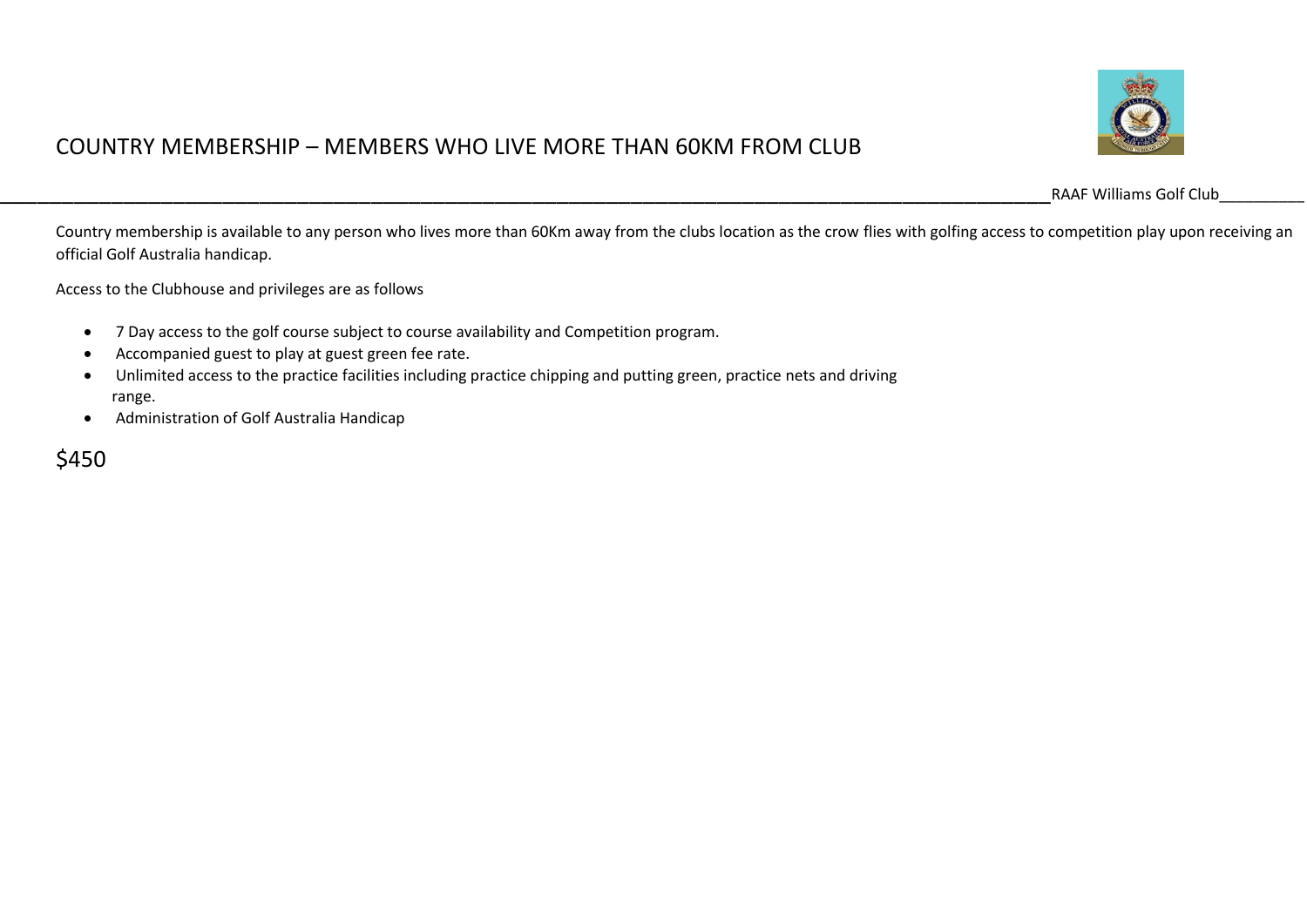

#### COUNTRY MEMBERSHIP – MEMBERS WHO LIVE MORE THAN 60KM FROM CLUB

\_\_\_\_\_\_\_\_\_\_\_\_\_\_\_\_\_\_\_\_\_\_\_\_\_\_\_\_\_\_\_\_\_\_\_\_\_\_\_\_\_\_\_\_\_\_\_\_\_\_\_\_\_\_\_\_\_\_\_\_\_\_\_\_\_\_\_\_\_\_\_\_\_\_\_\_\_\_\_\_\_\_\_\_\_RAAF Williams Golf Club\_\_\_\_\_\_\_\_\_\_

Country membership is available to any person who lives more than 60Km away from the clubs location as the crow flies with golfing access to competition play upon receiving an official Golf Australia handicap.

Access to the Clubhouse and privileges are as follows

- 7 Day access to the golf course subject to course availability and Competition program.
- Accompanied guest to play at guest green fee rate.
- Unlimited access to the practice facilities including practice chipping and putting green, practice nets and driving range.
- Administration of Golf Australia Handicap

\$450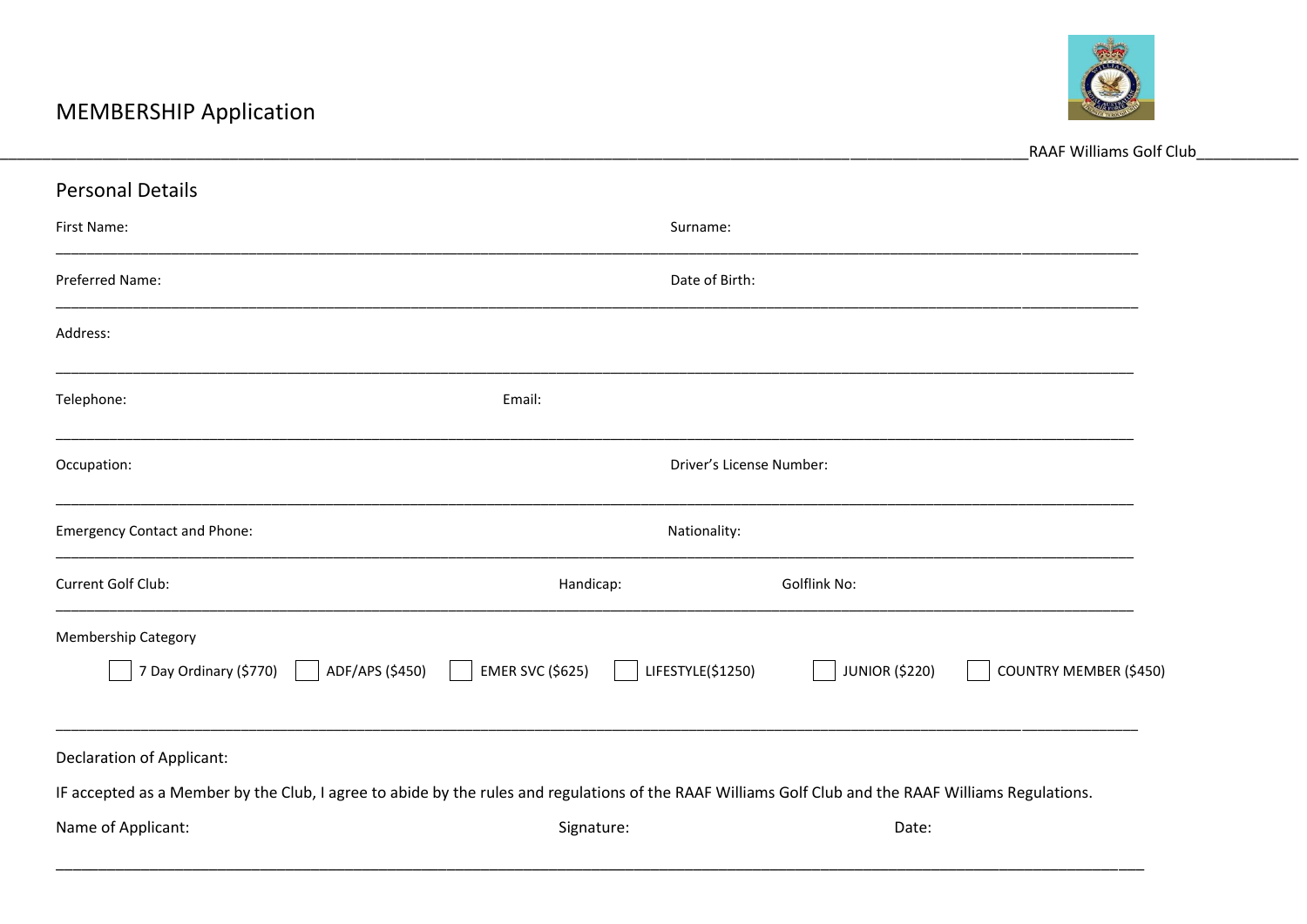

|                                                                                                                                                      |                          |                   |                       | RAAF Williams Golf Club       |  |
|------------------------------------------------------------------------------------------------------------------------------------------------------|--------------------------|-------------------|-----------------------|-------------------------------|--|
| <b>Personal Details</b>                                                                                                                              |                          |                   |                       |                               |  |
| First Name:                                                                                                                                          |                          | Surname:          |                       |                               |  |
| Preferred Name:                                                                                                                                      |                          | Date of Birth:    |                       |                               |  |
| Address:                                                                                                                                             |                          |                   |                       |                               |  |
| Telephone:                                                                                                                                           | Email:                   |                   |                       |                               |  |
| Occupation:                                                                                                                                          | Driver's License Number: |                   |                       |                               |  |
| <b>Emergency Contact and Phone:</b>                                                                                                                  | Nationality:             |                   |                       |                               |  |
| Current Golf Club:                                                                                                                                   | Handicap:                |                   | Golflink No:          |                               |  |
| Membership Category                                                                                                                                  |                          |                   |                       |                               |  |
| 7 Day Ordinary (\$770)<br>ADF/APS (\$450)                                                                                                            | <b>EMER SVC (\$625)</b>  | LIFESTYLE(\$1250) | <b>JUNIOR (\$220)</b> | <b>COUNTRY MEMBER (\$450)</b> |  |
| <b>Declaration of Applicant:</b>                                                                                                                     |                          |                   |                       |                               |  |
| IF accepted as a Member by the Club, I agree to abide by the rules and regulations of the RAAF Williams Golf Club and the RAAF Williams Regulations. |                          |                   |                       |                               |  |
| Name of Applicant:                                                                                                                                   | Signature:               |                   | Date:                 |                               |  |